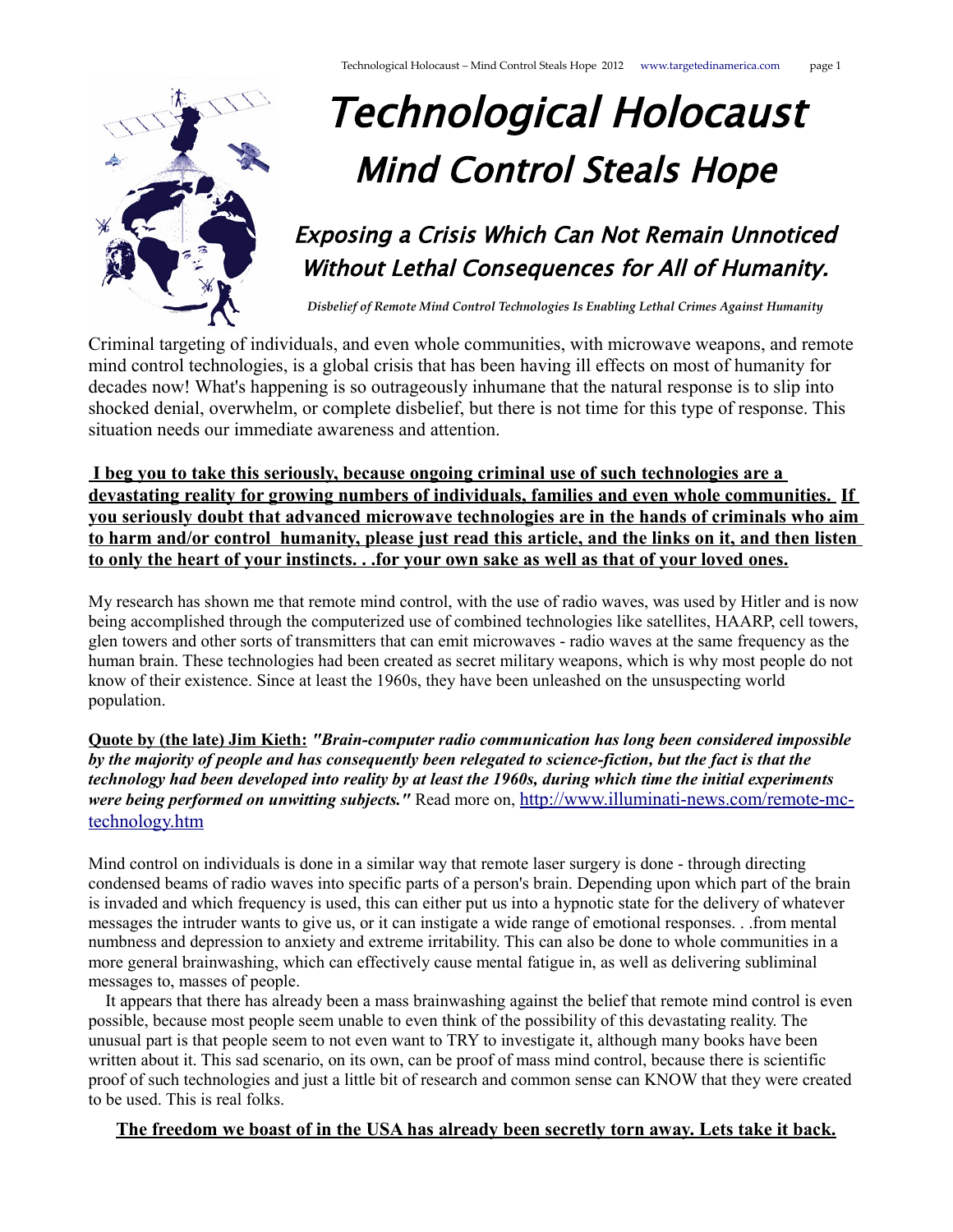

# Technological Holocaust Mind Control Steals Hope

## Exposing a Crisis Which Can Not Remain Unnoticed Without Lethal Consequences for All of Humanity.

*Disbelief of Remote Mind Control Technologies Is Enabling Lethal Crimes Against Humanity*

Criminal targeting of individuals, and even whole communities, with microwave weapons, and remote mind control technologies, is a global crisis that has been having ill effects on most of humanity for decades now! What's happening is so outrageously inhumane that the natural response is to slip into shocked denial, overwhelm, or complete disbelief, but there is not time for this type of response. This situation needs our immediate awareness and attention.

 **I beg you to take this seriously, because ongoing criminal use of such technologies are a devastating reality for growing numbers of individuals, families and even whole communities. If you seriously doubt that advanced microwave technologies are in the hands of criminals who aim to harm and/or control humanity, please just read this article, and the links on it, and then listen to only the heart of your instincts. . .for your own sake as well as that of your loved ones.**

My research has shown me that remote mind control, with the use of radio waves, was used by Hitler and is now being accomplished through the computerized use of combined technologies like satellites, HAARP, cell towers, glen towers and other sorts of transmitters that can emit microwaves - radio waves at the same frequency as the human brain. These technologies had been created as secret military weapons, which is why most people do not know of their existence. Since at least the 1960s, they have been unleashed on the unsuspecting world population.

**Quote by (the late) Jim Kieth:** *"Brain-computer radio communication has long been considered impossible by the majority of people and has consequently been relegated to science-fiction, but the fact is that the technology had been developed into reality by at least the 1960s, during which time the initial experiments were being performed on unwitting subjects."* Read more on, [http://www.illuminati-news.com/remote-mc](http://www.illuminati-news.com/remote-mc-technology.htm)[technology.htm](http://www.illuminati-news.com/remote-mc-technology.htm)

Mind control on individuals is done in a similar way that remote laser surgery is done - through directing condensed beams of radio waves into specific parts of a person's brain. Depending upon which part of the brain is invaded and which frequency is used, this can either put us into a hypnotic state for the delivery of whatever messages the intruder wants to give us, or it can instigate a wide range of emotional responses. . .from mental numbness and depression to anxiety and extreme irritability. This can also be done to whole communities in a more general brainwashing, which can effectively cause mental fatigue in, as well as delivering subliminal messages to, masses of people.

 It appears that there has already been a mass brainwashing against the belief that remote mind control is even possible, because most people seem unable to even think of the possibility of this devastating reality. The unusual part is that people seem to not even want to TRY to investigate it, although many books have been written about it. This sad scenario, on its own, can be proof of mass mind control, because there is scientific proof of such technologies and just a little bit of research and common sense can KNOW that they were created to be used. This is real folks.

#### **The freedom we boast of in the USA has already been secretly torn away. Lets take it back.**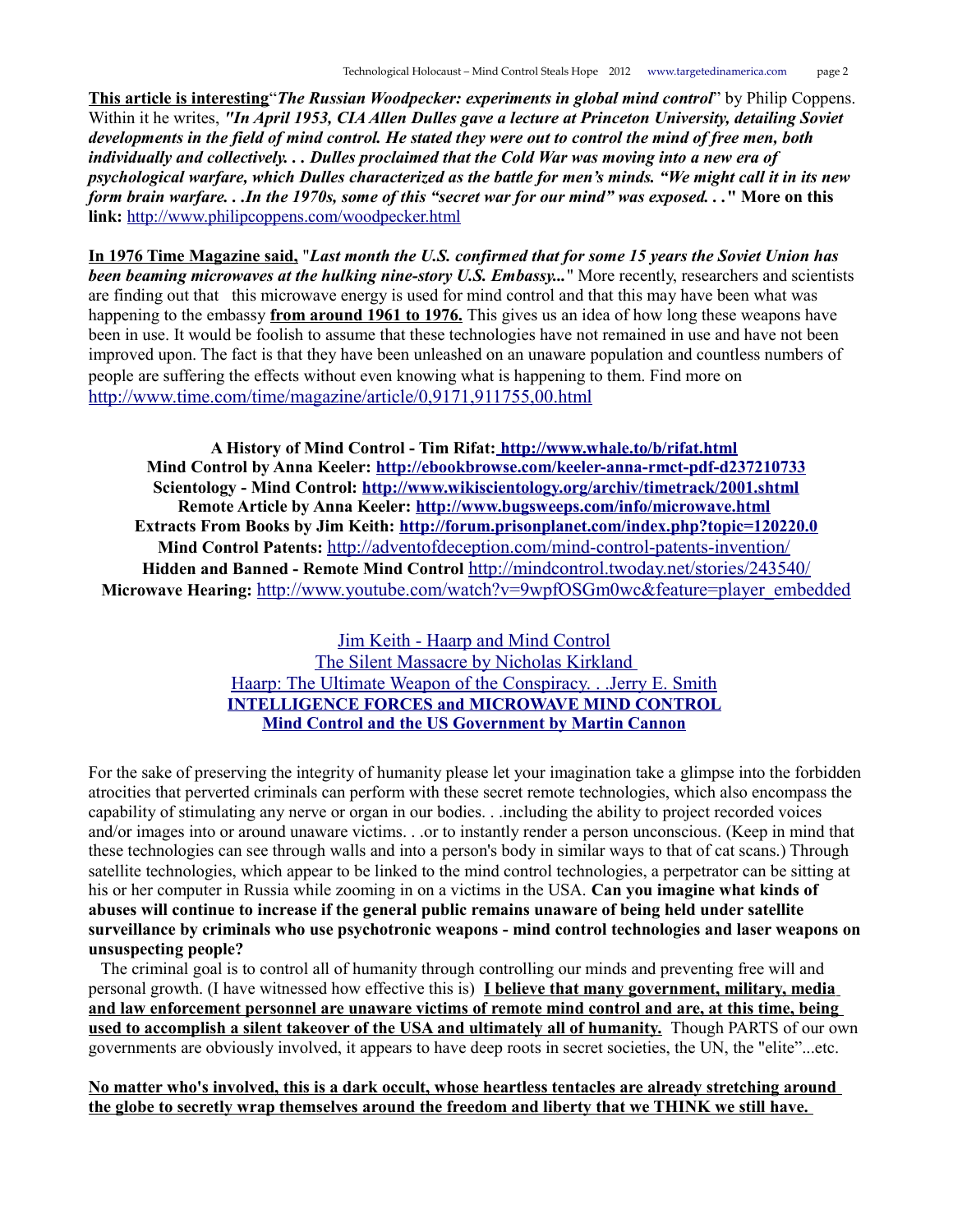**This article is interesting**"*The Russian Woodpecker: experiments in global mind control*" by Philip Coppens. Within it he writes, *"In April 1953, CIA Allen Dulles gave a lecture at Princeton University, detailing Soviet developments in the field of mind control. He stated they were out to control the mind of free men, both individually and collectively. . . Dulles proclaimed that the Cold War was moving into a new era of psychological warfare, which Dulles characterized as the battle for men's minds. "We might call it in its new form brain warfare. . .In the 1970s, some of this "secret war for our mind" was exposed. . .***" More on this link:** <http://www.philipcoppens.com/woodpecker.html>

**In 1976 Time Magazine said,** "*Last month the U.S. confirmed that for some 15 years the Soviet Union has been beaming microwaves at the hulking nine-story U.S. Embassy...*" More recently, researchers and scientists are finding out that this microwave energy is used for mind control and that this may have been what was happening to the embassy **from around 1961 to 1976.** This gives us an idea of how long these weapons have been in use. It would be foolish to assume that these technologies have not remained in use and have not been improved upon. The fact is that they have been unleashed on an unaware population and countless numbers of people are suffering the effects without even knowing what is happening to them. Find more on <http://www.time.com/time/magazine/article/0,9171,911755,00.html>

**A History of Mind Control - Tim Rifat:<http://www.whale.to/b/rifat.html> Mind Control by Anna Keeler:<http://ebookbrowse.com/keeler-anna-rmct-pdf-d237210733> Scientology - Mind Control:<http://www.wikiscientology.org/archiv/timetrack/2001.shtml> Remote Article by Anna Keeler:<http://www.bugsweeps.com/info/microwave.html> Extracts From Books by Jim Keith:<http://forum.prisonplanet.com/index.php?topic=120220.0> Mind Control Patents:** <http://adventofdeception.com/mind-control-patents-invention/> **Hidden and Banned - Remote Mind Control** <http://mindcontrol.twoday.net/stories/243540/> Microwave Hearing: [http://www.youtube.com/watch?v=9wpfOSGm0wc&feature=player\\_embedded](http://www.youtube.com/watch?v=9wpfOSGm0wc&feature=player_embedded)

> [Jim Keith - Haarp and Mind Control](http://www.amazon.com/Mass-Control-Engineering-Human-Consciousness/dp/1931882215)  [The Silent Massacre by Nicholas Kirkland](http://loveforlife.com.au/content/09/05/25/silent-massacre-electronic-torture-mind-control-america-and-law-enforcement-complic%20) [Haarp: The Ultimate Weapon of the Conspiracy. . .Jerry E. Smith](http://www.amazon.com/Haarp-Ultimate-Weapon-Conspiracy-Mind-Control/dp/0932813534%20) **[INTELLIGENCE FORCES and MICROWAVE MIND CONTROL](http://nexusilluminati.blogspot.com/2011/01/intelligence-forces-and-microwave-mind.html?showComment=1356314437419#c6182553978994595558) [Mind Control and the US Government by Martin Cannon](https://wikispooks.com/wiki/Document:Mind_Control_and_the_US_Government)**

For the sake of preserving the integrity of humanity please let your imagination take a glimpse into the forbidden atrocities that perverted criminals can perform with these secret remote technologies, which also encompass the capability of stimulating any nerve or organ in our bodies. . .including the ability to project recorded voices and/or images into or around unaware victims. . .or to instantly render a person unconscious. (Keep in mind that these technologies can see through walls and into a person's body in similar ways to that of cat scans.) Through satellite technologies, which appear to be linked to the mind control technologies, a perpetrator can be sitting at his or her computer in Russia while zooming in on a victims in the USA. **Can you imagine what kinds of abuses will continue to increase if the general public remains unaware of being held under satellite surveillance by criminals who use psychotronic weapons - mind control technologies and laser weapons on unsuspecting people?** 

 The criminal goal is to control all of humanity through controlling our minds and preventing free will and personal growth. (I have witnessed how effective this is) **I believe that many government, military, media and law enforcement personnel are unaware victims of remote mind control and are, at this time, being used to accomplish a silent takeover of the USA and ultimately all of humanity.** Though PARTS of our own governments are obviously involved, it appears to have deep roots in secret societies, the UN, the "elite"...etc.

**No matter who's involved, this is a dark occult, whose heartless tentacles are already stretching around the globe to secretly wrap themselves around the freedom and liberty that we THINK we still have.**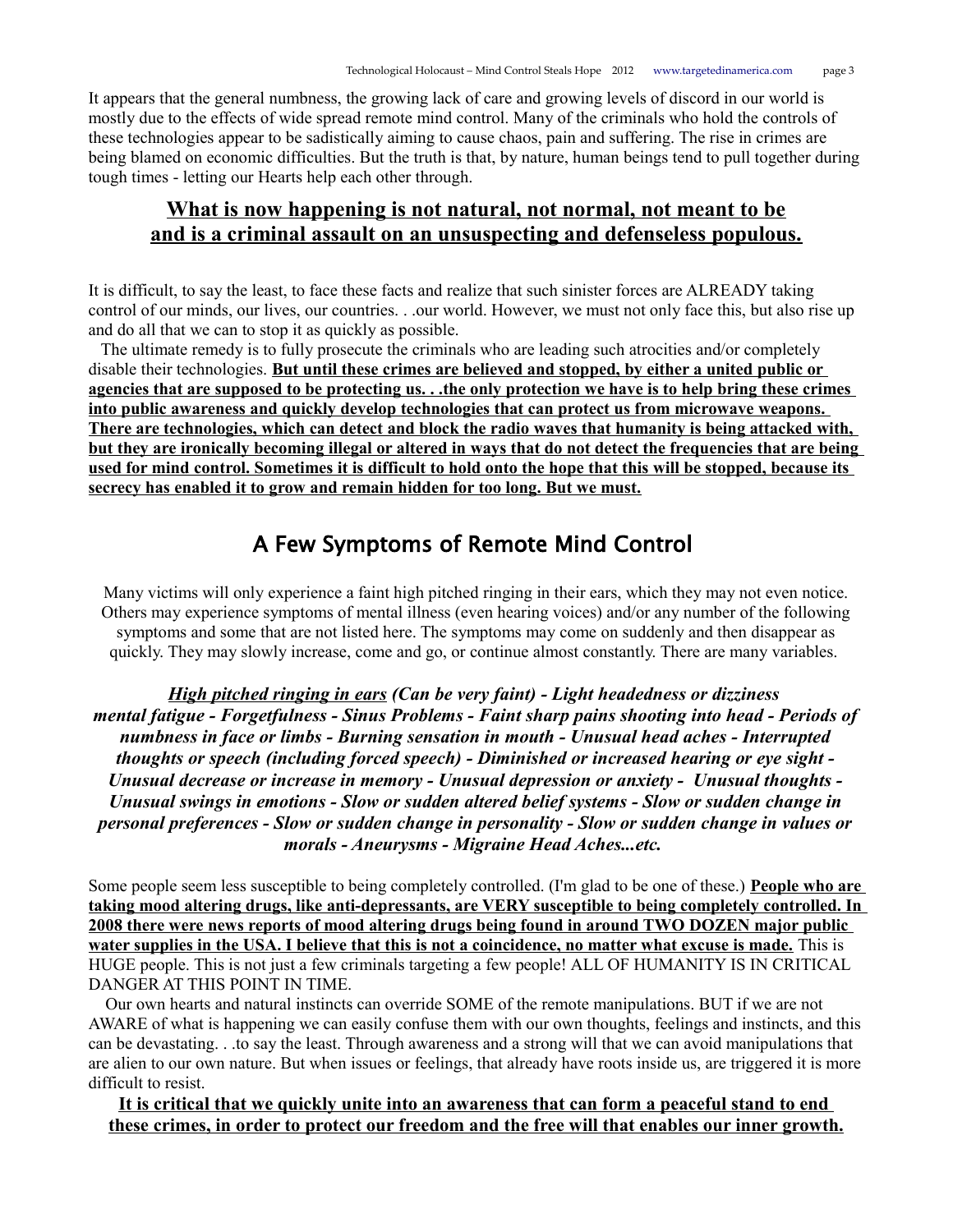It appears that the general numbness, the growing lack of care and growing levels of discord in our world is mostly due to the effects of wide spread remote mind control. Many of the criminals who hold the controls of these technologies appear to be sadistically aiming to cause chaos, pain and suffering. The rise in crimes are being blamed on economic difficulties. But the truth is that, by nature, human beings tend to pull together during tough times - letting our Hearts help each other through.

## **What is now happening is not natural, not normal, not meant to be and is a criminal assault on an unsuspecting and defenseless populous.**

It is difficult, to say the least, to face these facts and realize that such sinister forces are ALREADY taking control of our minds, our lives, our countries. . .our world. However, we must not only face this, but also rise up and do all that we can to stop it as quickly as possible.

 The ultimate remedy is to fully prosecute the criminals who are leading such atrocities and/or completely disable their technologies. **But until these crimes are believed and stopped, by either a united public or agencies that are supposed to be protecting us. . .the only protection we have is to help bring these crimes into public awareness and quickly develop technologies that can protect us from microwave weapons. There are technologies, which can detect and block the radio waves that humanity is being attacked with, but they are ironically becoming illegal or altered in ways that do not detect the frequencies that are being used for mind control. Sometimes it is difficult to hold onto the hope that this will be stopped, because its secrecy has enabled it to grow and remain hidden for too long. But we must.**

## A Few Symptoms of Remote Mind Control

Many victims will only experience a faint high pitched ringing in their ears, which they may not even notice. Others may experience symptoms of mental illness (even hearing voices) and/or any number of the following symptoms and some that are not listed here. The symptoms may come on suddenly and then disappear as quickly. They may slowly increase, come and go, or continue almost constantly. There are many variables.

*High pitched ringing in ears (Can be very faint) - Light headedness or dizziness mental fatigue - Forgetfulness - Sinus Problems - Faint sharp pains shooting into head - Periods of numbness in face or limbs - Burning sensation in mouth - Unusual head aches - Interrupted thoughts or speech (including forced speech) - Diminished or increased hearing or eye sight - Unusual decrease or increase in memory - Unusual depression or anxiety - Unusual thoughts - Unusual swings in emotions - Slow or sudden altered belief systems - Slow or sudden change in personal preferences - Slow or sudden change in personality - Slow or sudden change in values or morals - Aneurysms - Migraine Head Aches...etc.* 

Some people seem less susceptible to being completely controlled. (I'm glad to be one of these.) **People who are taking mood altering drugs, like anti-depressants, are VERY susceptible to being completely controlled. In 2008 there were news reports of mood altering drugs being found in around TWO DOZEN major public water supplies in the USA. I believe that this is not a coincidence, no matter what excuse is made.** This is HUGE people. This is not just a few criminals targeting a few people! ALL OF HUMANITY IS IN CRITICAL DANGER AT THIS POINT IN TIME.

 Our own hearts and natural instincts can override SOME of the remote manipulations. BUT if we are not AWARE of what is happening we can easily confuse them with our own thoughts, feelings and instincts, and this can be devastating. . .to say the least. Through awareness and a strong will that we can avoid manipulations that are alien to our own nature. But when issues or feelings, that already have roots inside us, are triggered it is more difficult to resist.

#### **It is critical that we quickly unite into an awareness that can form a peaceful stand to end these crimes, in order to protect our freedom and the free will that enables our inner growth.**